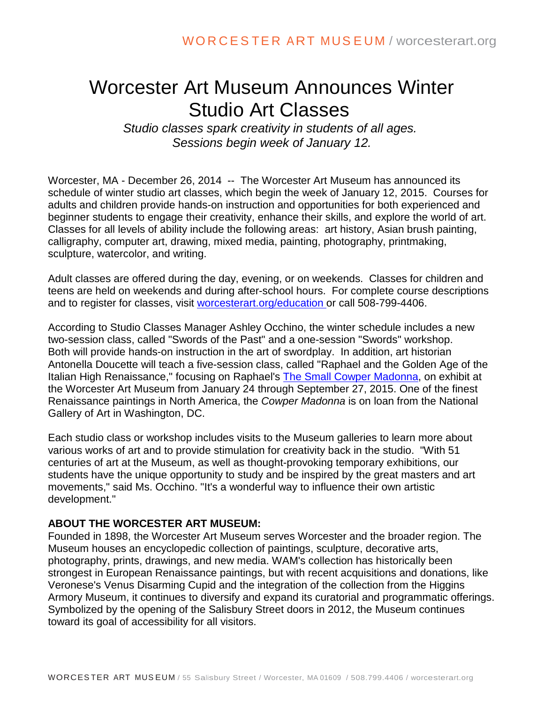## Worcester Art Museum Announces Winter Studio Art Classes

*Studio classes spark creativity in students of all ages. Sessions begin week of January 12.*

Worcester, MA - December 26, 2014 -- The Worcester Art Museum has announced its schedule of winter studio art classes, which begin the week of January 12, 2015. Courses for adults and children provide hands-on instruction and opportunities for both experienced and beginner students to engage their creativity, enhance their skills, and explore the world of art. Classes for all levels of ability include the following areas: art history, Asian brush painting, calligraphy, computer art, drawing, mixed media, painting, photography, printmaking, sculpture, watercolor, and writing.

Adult classes are offered during the day, evening, or on weekends. Classes for children and teens are held on weekends and during after-school hours. For complete course descriptions and to register for classes, visit [worcesterart.org/education o](http://r20.rs6.net/tn.jsp?f=001eTBEeRHm-7SnfAPKMbN3iHn3KveR4SRZ9i8qn-8Vzli6SoKKX_tD4dlD8bmZRzW-raycS0Tq-cBgK3U3XgT2dEJCS3Ne3_9_x_DQcPBLdZbb_Ml-RhudipZNc3N4XI7E-tZW_OkT25rbm5HJA6oUPsv52lluNzTRIuf-sdp90f55pK-RR_KeUBYmY_6g6Yn0dl8Z6Oyk-CbqxvrStKJ3gN9P7T2Qe3onfNyeV2kRy8DT9smk1gPDVJHEjDXZIexSwDWM6bUr7dYMRyaE3YlCQP38kImoLBqUs7GCQlBBtFF58A0RX8H6JFlgw8Ge4JoWGRqj3Nn7nDroZ3au5dHOg2-rn1QseVsc65e0BR6hUIpQ0rtOE27aF-uffIUwtrGqwbrK0TpYmxWqWhuAmJn5iSk6Hcy2C8vPJAJzjp_APT8=&c=eyWbSK45Q3VNldCwwA-yFLxwd-UmBsJ2aQZB0wsx8GiYDy-jxwiQHA==&ch=qtVA0f9c2QrbZqtjtXOenbwu7TpPwA-up0L9ImcaDQDnyH6no5QCww==)r call 508-799-4406.

According to Studio Classes Manager Ashley Occhino, the winter schedule includes a new two-session class, called "Swords of the Past" and a one-session "Swords" workshop. Both will provide hands-on instruction in the art of swordplay. In addition, art historian Antonella Doucette will teach a five-session class, called "Raphael and the Golden Age of the Italian High Renaissance," focusing on Raphael's [The Small Cowper Madonna,](http://r20.rs6.net/tn.jsp?f=001eTBEeRHm-7SnfAPKMbN3iHn3KveR4SRZ9i8qn-8Vzli6SoKKX_tD4ZIQqKJ4bUzKHtFS-QOt5GgPA6jR7bJlibB9gqUMcXwReAP1zsJTvIrcq2SV4t3l_b0GNjB2j9XcVlWVJzc2KZQY3VKE4xRar79fWVr8J_tMGob9gylBQPcz2zYeqqh3mf1bS1tq2xHUSRb1mb2FJPwUrbdNJs99W2o4vuvltMPKAgNc1gEb8oImU5qo9FXZ23NQhdCI-3RRVyVaW1MSwseouqJHUw3xhVwlVWiumdC87gA21fIxuepf8cgJALffWdczEf1Il6SD6uAYj4ecISlfO6znI3Sf1FHKHY3PD0u2AmE-twyhK4TokKb4Go__laRHnrmcfNyhgMBUmKtlXl4_eKAT_zfuLpIE_zYUZdTIgfsWkFbksN6OCO4HaFjGV1Li3t3Q9jpXF_FOi-Y6s9s=&c=eyWbSK45Q3VNldCwwA-yFLxwd-UmBsJ2aQZB0wsx8GiYDy-jxwiQHA==&ch=qtVA0f9c2QrbZqtjtXOenbwu7TpPwA-up0L9ImcaDQDnyH6no5QCww==) on exhibit at the Worcester Art Museum from January 24 through September 27, 2015. One of the finest Renaissance paintings in North America, the *Cowper Madonna* is on loan from the National Gallery of Art in Washington, DC.

Each studio class or workshop includes visits to the Museum galleries to learn more about various works of art and to provide stimulation for creativity back in the studio. "With 51 centuries of art at the Museum, as well as thought-provoking temporary exhibitions, our students have the unique opportunity to study and be inspired by the great masters and art movements," said Ms. Occhino. "It's a wonderful way to influence their own artistic development."

## **ABOUT THE WORCESTER ART MUSEUM:**

Founded in 1898, the Worcester Art Museum serves Worcester and the broader region. The Museum houses an encyclopedic collection of paintings, sculpture, decorative arts, photography, prints, drawings, and new media. WAM's collection has historically been strongest in European Renaissance paintings, but with recent acquisitions and donations, like Veronese's Venus Disarming Cupid and the integration of the collection from the Higgins Armory Museum, it continues to diversify and expand its curatorial and programmatic offerings. Symbolized by the opening of the Salisbury Street doors in 2012, the Museum continues toward its goal of accessibility for all visitors.